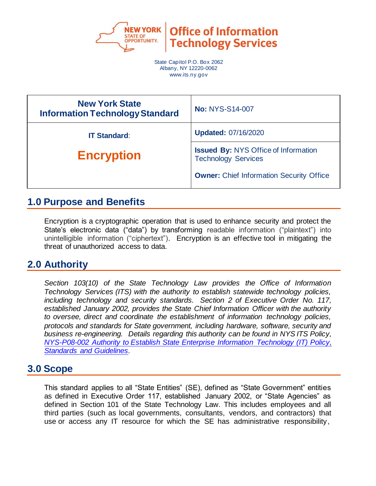

**Office of Information Technology Services** 

State Capitol P.O. Box 2062 Albany, NY 12220-0062 www.its.ny.gov

| <b>New York State</b><br><b>Information Technology Standard</b> | <b>No: NYS-S14-007</b>                                                    |
|-----------------------------------------------------------------|---------------------------------------------------------------------------|
| <b>IT Standard:</b>                                             | <b>Updated: 07/16/2020</b>                                                |
| <b>Encryption</b>                                               | <b>Issued By: NYS Office of Information</b><br><b>Technology Services</b> |
|                                                                 | <b>Owner:</b> Chief Information Security Office                           |

## **1.0 Purpose and Benefits**

Encryption is a cryptographic operation that is used to enhance security and protect the State's electronic data ("data") by transforming readable information ("plaintext") into unintelligible information ("ciphertext"). Encryption is an effective tool in mitigating the threat of unauthorized access to data.

# **2.0 Authority**

*Section 103(10) of the State Technology Law provides the Office of Information Technology Services (ITS) with the authority to establish statewide technology policies, including technology and security standards. Section 2 of Executive Order No. 117, established January 2002, provides the State Chief Information Officer with the authority to oversee, direct and coordinate the establishment of information technology policies, protocols and standards for State government, including hardware, software, security and business re-engineering. Details regarding this authority can be found in NYS ITS Policy, [NYS-P08-002 Authority to Establish State Enterprise Information Technology \(IT\) Policy,](https://its.ny.gov/document/authority-establish-state-enterprise-information-technology-it-policy-standards-and-guidelines)  [Standards and Guidelines.](https://its.ny.gov/document/authority-establish-state-enterprise-information-technology-it-policy-standards-and-guidelines)*

## **3.0 Scope**

This standard applies to all "State Entities" (SE), defined as "State Government" entities as defined in Executive Order 117, established January 2002, or "State Agencies" as defined in Section 101 of the State Technology Law. This includes employees and all third parties (such as local governments, consultants, vendors, and contractors) that use or access any IT resource for which the SE has administrative responsibility,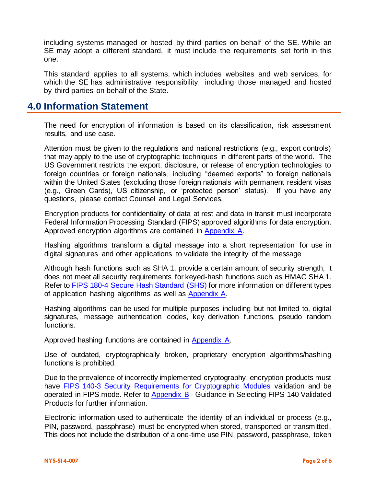including systems managed or hosted by third parties on behalf of the SE. While an SE may adopt a different standard, it must include the requirements set forth in this one.

This standard applies to all systems, which includes websites and web services, for which the SE has administrative responsibility, including those managed and hosted by third parties on behalf of the State.

### **4.0 Information Statement**

The need for encryption of information is based on its classification, risk assessment results, and use case.

Attention must be given to the regulations and national restrictions (e.g., export controls) that may apply to the use of cryptographic techniques in different parts of the world. The US Government restricts the export, disclosure, or release of encryption technologies to foreign countries or foreign nationals, including "deemed exports" to foreign nationals within the United States (excluding those foreign nationals with permanent resident visas (e.g., Green Cards), US citizenship, or 'protected person' status). If you have any questions, please contact Counsel and Legal Services.

Encryption products for confidentiality of data at rest and data in transit must incorporate Federal Information Processing Standard (FIPS) approved algorithms for data encryption. Approved encryption algorithms are contained in [Appendix A.](#page-6-0)

Hashing algorithms transform a digital message into a short representation for use in digital signatures and other applications to validate the integrity of the message

Although hash functions such as SHA 1, provide a certain amount of security strength, it does not meet all security requirements for keyed-hash functions such as HMAC SHA 1. Refer to [FIPS 180-4 Secure Hash Standard \(SHS\)](https://csrc.nist.gov/publications/detail/fips/180/4/final) for more information on different types of application hashing algorithms as well as [Appendix A.](#page-6-0)

Hashing algorithms can be used for multiple purposes including but not limited to, digital signatures, message authentication codes, key derivation functions, pseudo random functions.

Approved hashing functions are contained in [Appendix A.](#page-6-0)

Use of outdated, cryptographically broken, proprietary encryption algorithms/hashing functions is prohibited.

Due to the prevalence of incorrectly implemented cryptography, encryption products must have FIPS 140-3 [Security Requirements for Cryptographic Modules](https://csrc.nist.gov/publications/detail/fips/140/3/final) validation and be operated in FIPS mode. Refer to [Appendix B](#page-7-0) - Guidance in Selecting FIPS 140 Validated Products for further information.

Electronic information used to authenticate the identity of an individual or process (e.g., PIN, password, passphrase) must be encrypted when stored, transported or transmitted. This does not include the distribution of a one-time use PIN, password, passphrase, token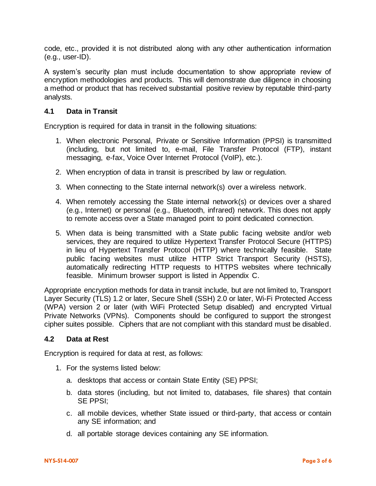code, etc., provided it is not distributed along with any other authentication information  $(e.q., user-ID).$ 

A system's security plan must include documentation to show appropriate review of encryption methodologies and products. This will demonstrate due diligence in choosing a method or product that has received substantial positive review by reputable third-party analysts.

### **4.1 Data in Transit**

Encryption is required for data in transit in the following situations:

- 1. When electronic Personal, Private or Sensitive Information (PPSI) is transmitted (including, but not limited to, e-mail, File Transfer Protocol (FTP), instant messaging, e-fax, Voice Over Internet Protocol (VoIP), etc.).
- 2. When encryption of data in transit is prescribed by law or regulation.
- 3. When connecting to the State internal network(s) over a wireless network.
- 4. When remotely accessing the State internal network(s) or devices over a shared (e.g., Internet) or personal (e.g., Bluetooth, infrared) network. This does not apply to remote access over a State managed point to point dedicated connection.
- 5. When data is being transmitted with a State public facing website and/or web services, they are required to utilize Hypertext Transfer Protocol Secure (HTTPS) in lieu of Hypertext Transfer Protocol (HTTP) where technically feasible. State public facing websites must utilize HTTP Strict Transport Security (HSTS), automatically redirecting HTTP requests to HTTPS websites where technically feasible. Minimum browser support is listed in Appendix C.

Appropriate encryption methods for data in transit include, but are not limited to, Transport Layer Security (TLS) 1.2 or later, Secure Shell (SSH) 2.0 or later, Wi-Fi Protected Access (WPA) version 2 or later (with WiFi Protected Setup disabled) and encrypted Virtual Private Networks (VPNs). Components should be configured to support the strongest cipher suites possible. Ciphers that are not compliant with this standard must be disabled.

#### **4.2 Data at Rest**

Encryption is required for data at rest, as follows:

- 1. For the systems listed below:
	- a. desktops that access or contain State Entity (SE) PPSI;
	- b. data stores (including, but not limited to, databases, file shares) that contain SE PPSI;
	- c. all mobile devices, whether State issued or third-party, that access or contain any SE information; and
	- d. all portable storage devices containing any SE information.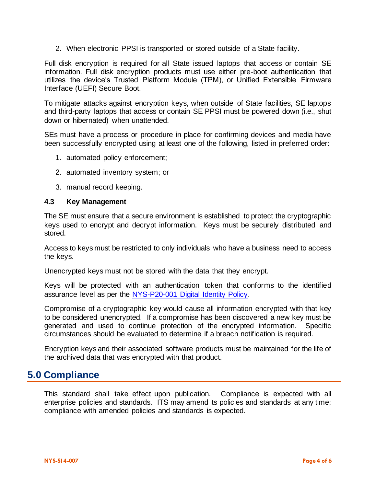2. When electronic PPSI is transported or stored outside of a State facility.

Full disk encryption is required for all State issued laptops that access or contain SE information. Full disk encryption products must use either pre-boot authentication that utilizes the device's Trusted Platform Module (TPM), or Unified Extensible Firmware Interface (UEFI) Secure Boot.

To mitigate attacks against encryption keys, when outside of State facilities, SE laptops and third-party laptops that access or contain SE PPSI must be powered down (i.e., shut down or hibernated) when unattended.

SEs must have a process or procedure in place for confirming devices and media have been successfully encrypted using at least one of the following, listed in preferred order:

- 1. automated policy enforcement;
- 2. automated inventory system; or
- 3. manual record keeping.

#### **4.3 Key Management**

The SE must ensure that a secure environment is established to protect the cryptographic keys used to encrypt and decrypt information. Keys must be securely distributed and stored.

Access to keys must be restricted to only individuals who have a business need to access the keys.

Unencrypted keys must not be stored with the data that they encrypt.

Keys will be protected with an authentication token that conforms to the identified assurance level as per the NYS-P20-001 [Digital Identity](https://its.ny.gov/document/digital-identity-policy) Policy.

Compromise of a cryptographic key would cause all information encrypted with that key to be considered unencrypted. If a compromise has been discovered a new key must be generated and used to continue protection of the encrypted information. Specific circumstances should be evaluated to determine if a breach notification is required.

Encryption keys and their associated software products must be maintained for the life of the archived data that was encrypted with that product.

## **5.0 Compliance**

This standard shall take effect upon publication. Compliance is expected with all enterprise policies and standards. ITS may amend its policies and standards at any time; compliance with amended policies and standards is expected.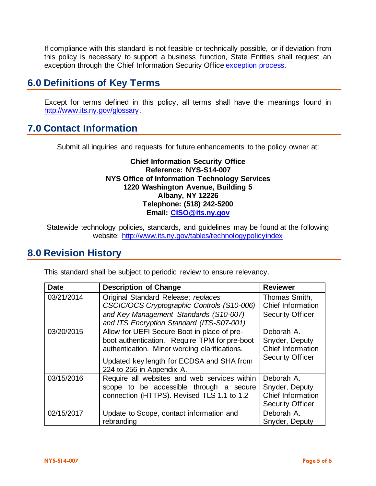If compliance with this standard is not feasible or technically possible, or if deviation from this policy is necessary to support a business function, State Entities shall request an exception through the Chief Information Security Offic[e exception process.](http://www.its.ny.gov/document/information-security-exception-policy)

# **6.0 Definitions of Key Terms**

Except for terms defined in this policy, all terms shall have the meanings found in [http://www.its.ny.gov/glossary.](http://www.its.ny.gov/glossary)

# **7.0 Contact Information**

Submit all inquiries and requests for future enhancements to the policy owner at:

### **Chief Information Security Office Reference: NYS-S14-007 NYS Office of Information Technology Services 1220 Washington Avenue, Building 5 Albany, NY 12226 Telephone: (518) 242-5200 Email: [CISO@its.ny.gov](mailto:CISO@its.ny.gov)**

Statewide technology policies, standards, and guidelines may be found at the following website: <http://www.its.ny.gov/tables/technologypolicyindex>

## **8.0 Revision History**

| <b>Date</b> | <b>Description of Change</b>                                                                                                                                                                                            | <b>Reviewer</b>                                                              |  |
|-------------|-------------------------------------------------------------------------------------------------------------------------------------------------------------------------------------------------------------------------|------------------------------------------------------------------------------|--|
| 03/21/2014  | Original Standard Release; replaces<br>CSCIC/OCS Cryptographic Controls (S10-006)<br>and Key Management Standards (S10-007)<br>and ITS Encryption Standard (ITS-S07-001)                                                | Thomas Smith,<br>Chief Information<br><b>Security Officer</b>                |  |
| 03/20/2015  | Allow for UEFI Secure Boot in place of pre-<br>boot authentication. Require TPM for pre-boot<br>authentication. Minor wording clarifications.<br>Updated key length for ECDSA and SHA from<br>224 to 256 in Appendix A. | Deborah A.<br>Snyder, Deputy<br>Chief Information<br><b>Security Officer</b> |  |
| 03/15/2016  | Require all websites and web services within<br>scope to be accessible through a secure<br>connection (HTTPS). Revised TLS 1.1 to 1.2                                                                                   | Deborah A.<br>Snyder, Deputy<br>Chief Information<br><b>Security Officer</b> |  |
| 02/15/2017  | Update to Scope, contact information and<br>rebranding                                                                                                                                                                  | Deborah A.<br>Snyder, Deputy                                                 |  |
|             |                                                                                                                                                                                                                         |                                                                              |  |

This standard shall be subject to periodic review to ensure relevancy.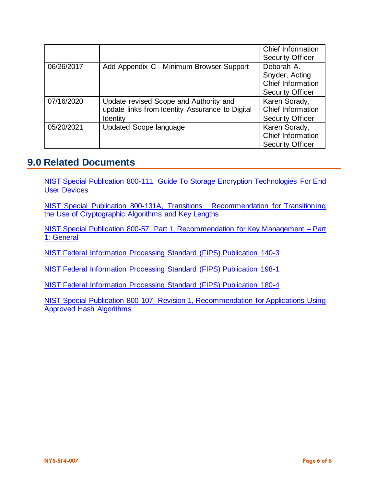|            |                                                                                                       | Chief Information<br><b>Security Officer</b>                                 |
|------------|-------------------------------------------------------------------------------------------------------|------------------------------------------------------------------------------|
| 06/26/2017 | Add Appendix C - Minimum Browser Support                                                              | Deborah A.<br>Snyder, Acting<br>Chief Information<br><b>Security Officer</b> |
| 07/16/2020 | Update revised Scope and Authority and<br>update links from Identity Assurance to Digital<br>Identity | Karen Sorady,<br>Chief Information<br><b>Security Officer</b>                |
| 05/20/2021 | Updated Scope language                                                                                | Karen Sorady,<br>Chief Information<br><b>Security Officer</b>                |

### **9.0 Related Documents**

[NIST Special Publication 800-111, Guide To Storage Encryption Technologies For End](http://csrc.nist.gov/publications/PubsSPs.html)  [User Devices](http://csrc.nist.gov/publications/PubsSPs.html) 

[NIST Special Publication 800-131A, Transitions: Recommendation for Transitioning](http://csrc.nist.gov/publications/PubsSPs.html)  [the Use of Cryptographic Algorithms and Key Lengths](http://csrc.nist.gov/publications/PubsSPs.html)

[NIST Special Publication 800-57, Part 1, Recommendation for Key Management –](http://csrc.nist.gov/publications/PubsSPs.html) Part [1: General](http://csrc.nist.gov/publications/PubsSPs.html)

[NIST Federal Information Processing Standard \(FIPS\) Publication 140-3](https://csrc.nist.gov/publications/detail/fips/140/3/final)

[NIST Federal Information Processing Standard \(FIPS\) Publication 198-1](https://nvlpubs.nist.gov/nistpubs/FIPS/NIST.FIPS.198-1.pdf)

[NIST Federal Information Processing Standard \(FIPS\) Publication 180-4](https://nvlpubs.nist.gov/nistpubs/FIPS/NIST.FIPS.180-4.pdf)

[NIST Special Publication 800-107, Revision 1, Recommendation for Applications Using](https://nvlpubs.nist.gov/nistpubs/legacy/sp/nistspecialpublication800-107r1.pdf)  [Approved Hash Algorithms](https://nvlpubs.nist.gov/nistpubs/legacy/sp/nistspecialpublication800-107r1.pdf)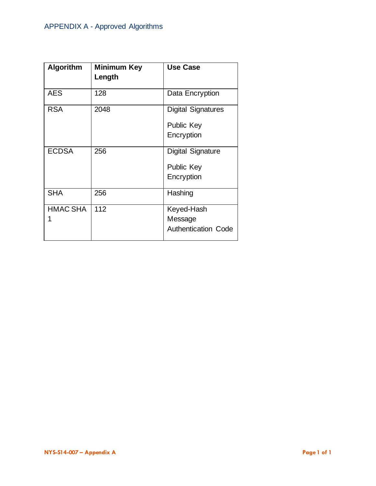<span id="page-6-0"></span>

| <b>Algorithm</b> | <b>Minimum Key</b><br>Length | <b>Use Case</b>                                              |
|------------------|------------------------------|--------------------------------------------------------------|
| <b>AES</b>       | 128                          | Data Encryption                                              |
| <b>RSA</b>       | 2048                         | <b>Digital Signatures</b><br><b>Public Key</b><br>Encryption |
| <b>ECDSA</b>     | 256                          | <b>Digital Signature</b><br><b>Public Key</b><br>Encryption  |
| <b>SHA</b>       | 256                          | Hashing                                                      |
| <b>HMAC SHA</b>  | 112                          | Keyed-Hash<br>Message<br><b>Authentication Code</b>          |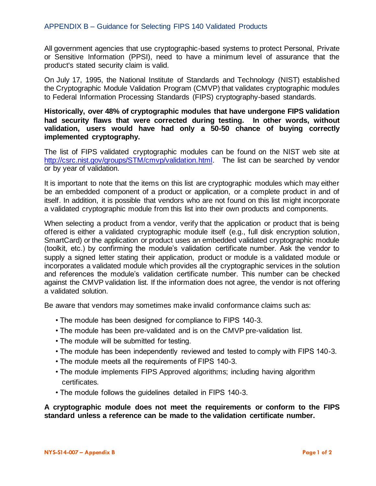<span id="page-7-0"></span>All government agencies that use cryptographic-based systems to protect Personal, Private or Sensitive Information (PPSI), need to have a minimum level of assurance that the product's stated security claim is valid.

On July 17, 1995, the National Institute of Standards and Technology (NIST) established the Cryptographic Module Validation Program (CMVP) that validates cryptographic modules to Federal Information Processing Standards (FIPS) cryptography-based standards.

### **Historically, over 48% of cryptographic modules that have undergone FIPS validation had security flaws that were corrected during testing. In other words, without validation, users would have had only a 50-50 chance of buying correctly implemented cryptography.**

The list of FIPS validated cryptographic modules can be found on the NIST web site at [http://csrc.nist.gov/groups/STM/cmvp/validation.html.](http://csrc.nist.gov/groups/STM/cmvp/validation.html) The list can be searched by vendor or by year of validation.

It is important to note that the items on this list are cryptographic modules which may either be an embedded component of a product or application, or a complete product in and of itself. In addition, it is possible that vendors who are not found on this list might incorporate a validated cryptographic module from this list into their own products and components.

When selecting a product from a vendor, verify that the application or product that is being offered is either a validated cryptographic module itself (e.g., full disk encryption solution, SmartCard) or the application or product uses an embedded validated cryptographic module (toolkit, etc.) by confirming the module's validation certificate number. Ask the vendor to supply a signed letter stating their application, product or module is a validated module or incorporates a validated module which provides all the cryptographic services in the solution and references the module's validation certificate number. This number can be checked against the CMVP validation list. If the information does not agree, the vendor is not offering a validated solution.

Be aware that vendors may sometimes make invalid conformance claims such as:

- The module has been designed for compliance to FIPS 140-3.
- The module has been pre-validated and is on the CMVP pre-validation list.
- The module will be submitted for testing.
- The module has been independently reviewed and tested to comply with FIPS 140-3.
- The module meets all the requirements of FIPS 140-3.
- The module implements FIPS Approved algorithms; including having algorithm certificates.
- The module follows the guidelines detailed in FIPS 140-3.

#### **A cryptographic module does not meet the requirements or conform to the FIPS standard unless a reference can be made to the validation certificate number.**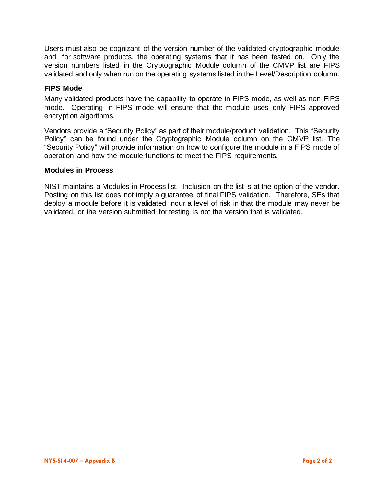Users must also be cognizant of the version number of the validated cryptographic module and, for software products, the operating systems that it has been tested on. Only the version numbers listed in the Cryptographic Module column of the CMVP list are FIPS validated and only when run on the operating systems listed in the Level/Description column.

#### **FIPS Mode**

Many validated products have the capability to operate in FIPS mode, as well as non-FIPS mode. Operating in FIPS mode will ensure that the module uses only FIPS approved encryption algorithms.

Vendors provide a "Security Policy" as part of their module/product validation. This "Security Policy" can be found under the Cryptographic Module column on the CMVP list. The "Security Policy" will provide information on how to configure the module in a FIPS mode of operation and how the module functions to meet the FIPS requirements.

#### **Modules in Process**

NIST maintains a Modules in Process list. Inclusion on the list is at the option of the vendor. Posting on this list does not imply a guarantee of final FIPS validation. Therefore, SEs that deploy a module before it is validated incur a level of risk in that the module may never be validated, or the version submitted for testing is not the version that is validated.